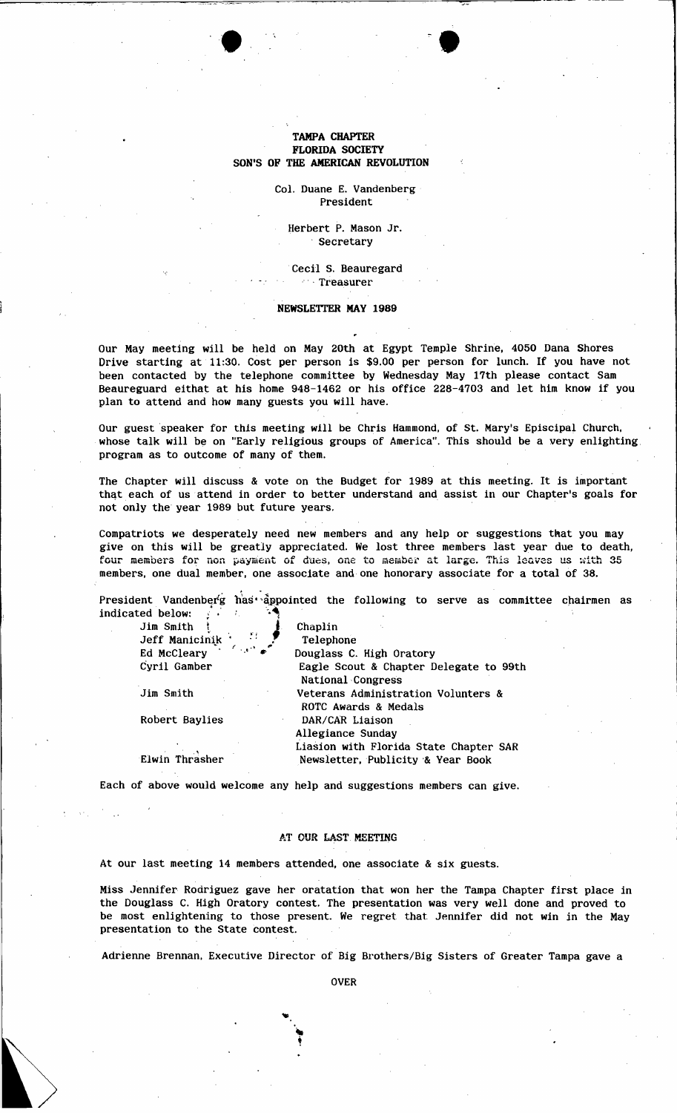## TAMPA CHAPTER FLORIDA SOCIETY SON'S OF THE AMERICAN REVOLUTION

 $\bullet$  .  $\bullet$ 

Col. Duane E. Vandenberg President

Herbert P. Mason Jr. , Secretary

.Cecil S. Beauregard ,, , Treasurer

## NEWSLETTER MAY 1989

Our May meeting will be held on May 20th at Egypt Temple Shrine, 4050 Dana Shores Drive starting at 11:30. Cost per person is \$9.00 per person for lunch. If you have not been contacted by the telephone committee by Wednesday May 17th please contact Sam Beaureguard eithat at his home 948-1462 or his office 228-4703 and let him know if you plan to attend and how many guests you will have.

Our guest speaker for this meeting will be Chris Hammond, of St. Mary's Episcipal Church, whose talk will be on "Early religious groups of America". This should be a very enlighting program as to outcome of many of them.

The Chapter Will discuss & vote on the Budget for 1989 at this meeting. It is important that each of us attend in order to better understand and assist in our Chapter's goals for not only the year 1989 but future years.

Compatriots we desperately need new members and any help or suggestions that you may give on this will be greatly appreciated. We lost three members last year due to death, four members for non payment of dues, one to member at large. This leaves us with 35 members, one dual member, one associate and one honorary associate for a total of 38.

President Vandenberg has' appointed the following to serve as committee chairmen as indicated below:  $\int$   $\cdots$ 

|                                                                                            | Chaplin                                                            |
|--------------------------------------------------------------------------------------------|--------------------------------------------------------------------|
| $\lim_{x \to 0}$ Smith $\lim_{x \to 0}$ $\lim_{x \to 0}$ $\lim_{x \to 0}$ $\lim_{x \to 0}$ | Telephone                                                          |
| Ed McCleary                                                                                | Douglass C. High Oratory                                           |
| Cyril Gamber                                                                               | Eagle Scout & Chapter Delegate to 99th<br><b>National Congress</b> |
| Jim Smith                                                                                  | Veterans Administration Volunters &<br>ROTC Awards & Medals        |
| Robert Baylies                                                                             | DAR/CAR Liaison                                                    |
|                                                                                            | Allegiance Sunday                                                  |
|                                                                                            | Liasion with Florida State Chapter SAR                             |
| Elwin Thrasher                                                                             | Newsletter, Publicity & Year Book                                  |
|                                                                                            |                                                                    |

Each of above would welcome any help and suggestions members can give.

## AT OUR LAST MEETING

At our last meeting 14 members attended, one associate & six guests.

..

Miss Jennifer Rodriguez gave her oratation that won her the Tampa Chapter first place in the Douglass C. High Oratory contest. The presentation was very well done and proved to be most enlightening to those present. We regret that. Jennifer did not win in the May presentation to the State contest.

Adrienne Brennan, Executive Director of Big Brothers/Big Sisters of Greater Tampa gave a

OVER